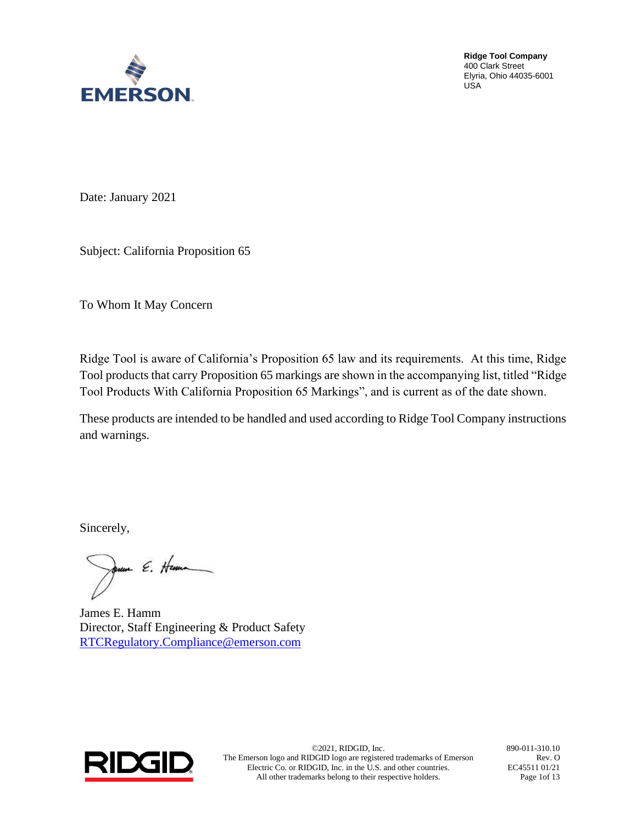

Date: January 2021

Subject: California Proposition 65

To Whom It May Concern

Ridge Tool is aware of California's Proposition 65 law and its requirements. At this time, Ridge Tool products that carry Proposition 65 markings are shown in the accompanying list, titled "Ridge Tool Products With California Proposition 65 Markings", and is current as of the date shown.

These products are intended to be handled and used according to Ridge Tool Company instructions and warnings.

Sincerely,

rum E. Henn

James E. Hamm Director, Staff Engineering & Product Safety [RTCRegulatory.Compliance@emerson.com](mailto:RTCRegulatory.Compliance@emerson.com)



©2021, RIDGID, Inc. 890-011-310.10 The Emerson logo and RIDGID logo are registered trademarks of Emerson Electric Co. or RIDGID, Inc. in the U.S. and other countries. All other trademarks belong to their respective holders.

Rev. O EC45511 01/21 Page 1of 13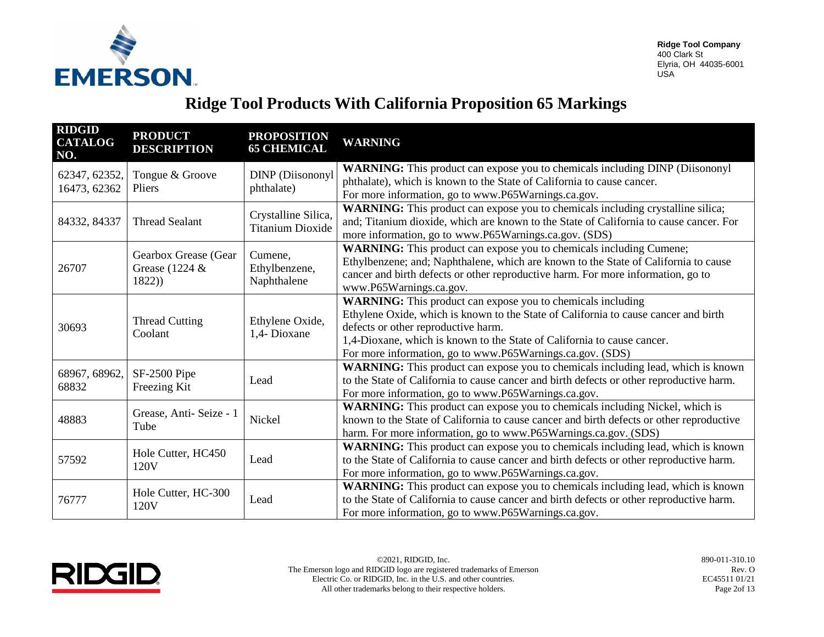

| <b>RIDGID</b><br><b>CATALOG</b><br>NO. | <b>PRODUCT</b><br><b>DESCRIPTION</b> | <b>PROPOSITION</b><br><b>65 CHEMICAL</b> | <b>WARNING</b>                                                                           |
|----------------------------------------|--------------------------------------|------------------------------------------|------------------------------------------------------------------------------------------|
| 62347, 62352,                          | Tongue & Groove                      | <b>DINP</b> (Diisononyl                  | <b>WARNING:</b> This product can expose you to chemicals including DINP (Diisononyl      |
| 16473, 62362                           | <b>Pliers</b>                        | phthalate)                               | phthalate), which is known to the State of California to cause cancer.                   |
|                                        |                                      |                                          | For more information, go to www.P65Warnings.ca.gov.                                      |
|                                        |                                      | Crystalline Silica,                      | WARNING: This product can expose you to chemicals including crystalline silica;          |
| 84332, 84337                           | <b>Thread Sealant</b>                | <b>Titanium Dioxide</b>                  | and; Titanium dioxide, which are known to the State of California to cause cancer. For   |
|                                        |                                      |                                          | more information, go to www.P65Warnings.ca.gov. (SDS)                                    |
|                                        | Gearbox Grease (Gear                 | Cumene,                                  | WARNING: This product can expose you to chemicals including Cumene;                      |
| 26707                                  | Grease (1224 $\&$                    | Ethylbenzene,                            | Ethylbenzene; and; Naphthalene, which are known to the State of California to cause      |
|                                        | 1822)                                | Naphthalene                              | cancer and birth defects or other reproductive harm. For more information, go to         |
|                                        |                                      |                                          | www.P65Warnings.ca.gov.                                                                  |
|                                        |                                      |                                          | WARNING: This product can expose you to chemicals including                              |
|                                        | <b>Thread Cutting</b><br>Coolant     | Ethylene Oxide,<br>1,4- Dioxane          | Ethylene Oxide, which is known to the State of California to cause cancer and birth      |
| 30693                                  |                                      |                                          | defects or other reproductive harm.                                                      |
|                                        |                                      |                                          | 1,4-Dioxane, which is known to the State of California to cause cancer.                  |
|                                        |                                      |                                          | For more information, go to www.P65Warnings.ca.gov. (SDS)                                |
| 68967, 68962,                          | SF-2500 Pipe<br>Freezing Kit         | Lead                                     | WARNING: This product can expose you to chemicals including lead, which is known         |
| 68832                                  |                                      |                                          | to the State of California to cause cancer and birth defects or other reproductive harm. |
|                                        |                                      |                                          | For more information, go to www.P65Warnings.ca.gov.                                      |
|                                        | Grease, Anti-Seize - 1               |                                          | WARNING: This product can expose you to chemicals including Nickel, which is             |
| 48883                                  | Tube                                 | Nickel                                   | known to the State of California to cause cancer and birth defects or other reproductive |
|                                        |                                      |                                          | harm. For more information, go to www.P65Warnings.ca.gov.(SDS)                           |
|                                        | Hole Cutter, HC450                   |                                          | WARNING: This product can expose you to chemicals including lead, which is known         |
| 57592                                  | 120V                                 | Lead                                     | to the State of California to cause cancer and birth defects or other reproductive harm. |
|                                        |                                      |                                          | For more information, go to www.P65Warnings.ca.gov.                                      |
|                                        | Hole Cutter, HC-300                  |                                          | WARNING: This product can expose you to chemicals including lead, which is known         |
| 76777                                  | 120V                                 | Lead                                     | to the State of California to cause cancer and birth defects or other reproductive harm. |
|                                        |                                      |                                          | For more information, go to www.P65Warnings.ca.gov.                                      |

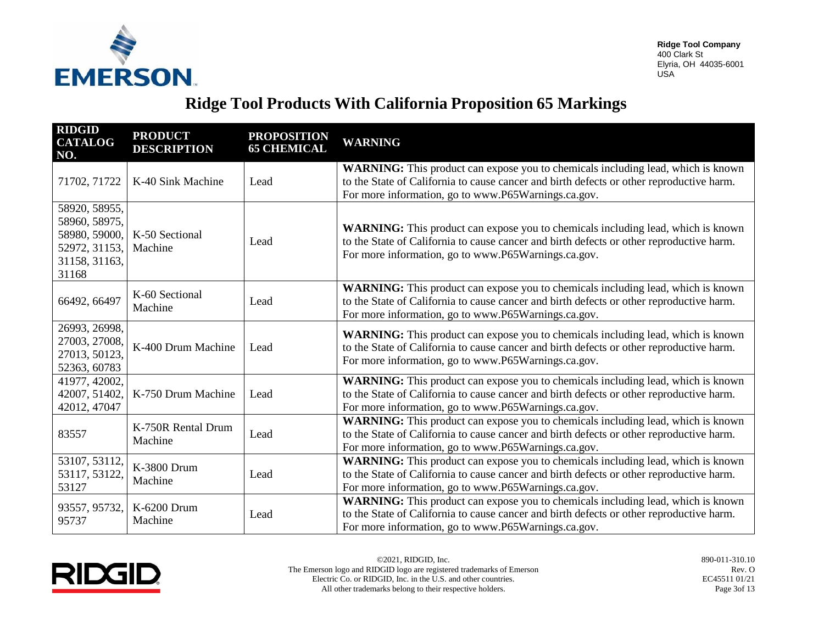

| <b>RIDGID</b><br><b>CATALOG</b><br>NO.                                                     | <b>PRODUCT</b><br><b>DESCRIPTION</b> | <b>PROPOSITION</b><br><b>65 CHEMICAL</b> | <b>WARNING</b>                                                                                                                                                                                                                             |
|--------------------------------------------------------------------------------------------|--------------------------------------|------------------------------------------|--------------------------------------------------------------------------------------------------------------------------------------------------------------------------------------------------------------------------------------------|
| 71702, 71722                                                                               | K-40 Sink Machine                    | Lead                                     | WARNING: This product can expose you to chemicals including lead, which is known<br>to the State of California to cause cancer and birth defects or other reproductive harm.<br>For more information, go to www.P65Warnings.ca.gov.        |
| 58920, 58955,<br>58960, 58975,<br>58980, 59000,<br>52972, 31153,<br>31158, 31163,<br>31168 | K-50 Sectional<br>Machine            | Lead                                     | <b>WARNING:</b> This product can expose you to chemicals including lead, which is known<br>to the State of California to cause cancer and birth defects or other reproductive harm.<br>For more information, go to www.P65Warnings.ca.gov. |
| 66492, 66497                                                                               | K-60 Sectional<br>Machine            | Lead                                     | WARNING: This product can expose you to chemicals including lead, which is known<br>to the State of California to cause cancer and birth defects or other reproductive harm.<br>For more information, go to www.P65Warnings.ca.gov.        |
| 26993, 26998,<br>27003, 27008,<br>27013, 50123,<br>52363, 60783                            | K-400 Drum Machine                   | Lead                                     | WARNING: This product can expose you to chemicals including lead, which is known<br>to the State of California to cause cancer and birth defects or other reproductive harm.<br>For more information, go to www.P65Warnings.ca.gov.        |
| 41977, 42002,<br>42007, 51402,<br>42012, 47047                                             | K-750 Drum Machine                   | Lead                                     | WARNING: This product can expose you to chemicals including lead, which is known<br>to the State of California to cause cancer and birth defects or other reproductive harm.<br>For more information, go to www.P65Warnings.ca.gov.        |
| 83557                                                                                      | K-750R Rental Drum<br>Machine        | Lead                                     | WARNING: This product can expose you to chemicals including lead, which is known<br>to the State of California to cause cancer and birth defects or other reproductive harm.<br>For more information, go to www.P65Warnings.ca.gov.        |
| 53107, 53112,<br>53117, 53122,<br>53127                                                    | K-3800 Drum<br>Machine               | Lead                                     | WARNING: This product can expose you to chemicals including lead, which is known<br>to the State of California to cause cancer and birth defects or other reproductive harm.<br>For more information, go to www.P65Warnings.ca.gov.        |
| 93557, 95732,<br>95737                                                                     | K-6200 Drum<br>Machine               | Lead                                     | WARNING: This product can expose you to chemicals including lead, which is known<br>to the State of California to cause cancer and birth defects or other reproductive harm.<br>For more information, go to www.P65Warnings.ca.gov.        |

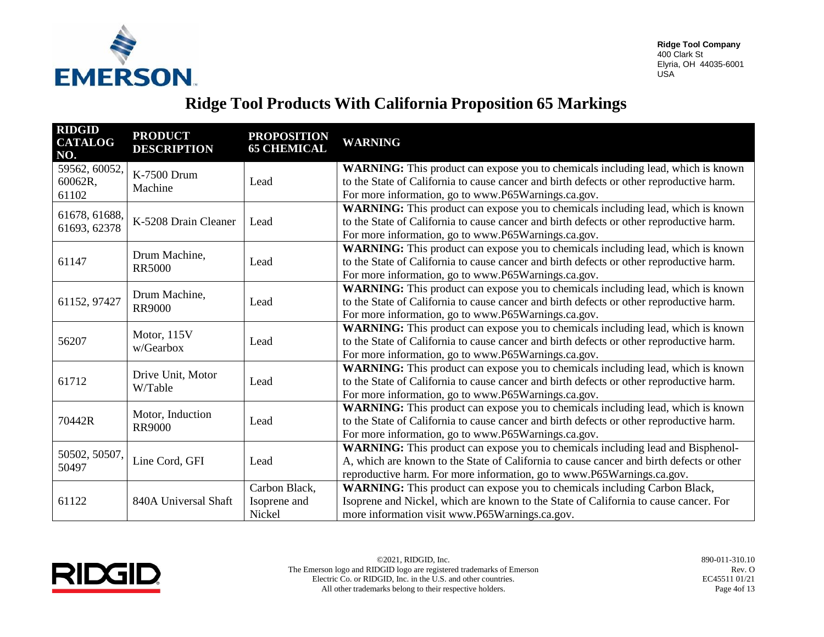

| <b>RIDGID</b><br><b>CATALOG</b><br>NO. | <b>PRODUCT</b><br><b>DESCRIPTION</b> | <b>PROPOSITION</b><br><b>65 CHEMICAL</b> | <b>WARNING</b>                                                                           |
|----------------------------------------|--------------------------------------|------------------------------------------|------------------------------------------------------------------------------------------|
| 59562, 60052,                          | K-7500 Drum                          |                                          | WARNING: This product can expose you to chemicals including lead, which is known         |
| 60062R,                                | Machine                              | Lead                                     | to the State of California to cause cancer and birth defects or other reproductive harm. |
| 61102                                  |                                      |                                          | For more information, go to www.P65Warnings.ca.gov.                                      |
|                                        |                                      |                                          | WARNING: This product can expose you to chemicals including lead, which is known         |
| 61678, 61688,<br>61693, 62378          | K-5208 Drain Cleaner                 | Lead                                     | to the State of California to cause cancer and birth defects or other reproductive harm. |
|                                        |                                      |                                          | For more information, go to www.P65Warnings.ca.gov.                                      |
|                                        | Drum Machine,                        |                                          | WARNING: This product can expose you to chemicals including lead, which is known         |
| 61147                                  | <b>RR5000</b>                        | Lead                                     | to the State of California to cause cancer and birth defects or other reproductive harm. |
|                                        |                                      |                                          | For more information, go to www.P65Warnings.ca.gov.                                      |
|                                        | Drum Machine,                        | Lead                                     | WARNING: This product can expose you to chemicals including lead, which is known         |
| 61152, 97427                           | <b>RR9000</b>                        |                                          | to the State of California to cause cancer and birth defects or other reproductive harm. |
|                                        |                                      |                                          | For more information, go to www.P65Warnings.ca.gov.                                      |
|                                        | Motor, 115V<br>w/Gearbox             | Lead                                     | WARNING: This product can expose you to chemicals including lead, which is known         |
| 56207                                  |                                      |                                          | to the State of California to cause cancer and birth defects or other reproductive harm. |
|                                        |                                      |                                          | For more information, go to www.P65Warnings.ca.gov.                                      |
|                                        | Drive Unit, Motor<br>W/Table         | Lead                                     | WARNING: This product can expose you to chemicals including lead, which is known         |
| 61712                                  |                                      |                                          | to the State of California to cause cancer and birth defects or other reproductive harm. |
|                                        |                                      |                                          | For more information, go to www.P65Warnings.ca.gov.                                      |
|                                        | Motor, Induction                     | Lead                                     | WARNING: This product can expose you to chemicals including lead, which is known         |
| 70442R                                 | <b>RR9000</b>                        |                                          | to the State of California to cause cancer and birth defects or other reproductive harm. |
|                                        |                                      |                                          | For more information, go to www.P65Warnings.ca.gov.                                      |
| 50502, 50507,                          |                                      |                                          | WARNING: This product can expose you to chemicals including lead and Bisphenol-          |
| 50497                                  | Line Cord, GFI                       | Lead                                     | A, which are known to the State of California to cause cancer and birth defects or other |
|                                        |                                      |                                          | reproductive harm. For more information, go to www.P65Warnings.ca.gov.                   |
|                                        |                                      | Carbon Black,                            | <b>WARNING:</b> This product can expose you to chemicals including Carbon Black,         |
| 61122                                  | 840A Universal Shaft                 | Isoprene and                             | Isoprene and Nickel, which are known to the State of California to cause cancer. For     |
|                                        |                                      | Nickel                                   | more information visit www.P65Warnings.ca.gov.                                           |

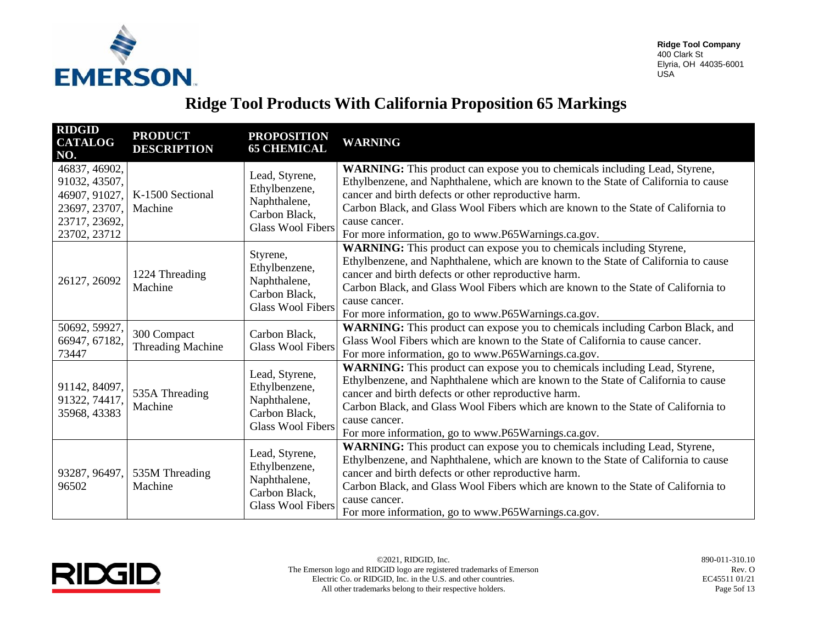

| <b>RIDGID</b><br><b>CATALOG</b><br>NO.                                                            | <b>PRODUCT</b><br><b>DESCRIPTION</b> | <b>PROPOSITION</b><br><b>65 CHEMICAL</b>                                                     | <b>WARNING</b>                                                                                                                                                                                                                                                                                                                                                                               |
|---------------------------------------------------------------------------------------------------|--------------------------------------|----------------------------------------------------------------------------------------------|----------------------------------------------------------------------------------------------------------------------------------------------------------------------------------------------------------------------------------------------------------------------------------------------------------------------------------------------------------------------------------------------|
| 46837, 46902,<br>91032, 43507,<br>46907, 91027,<br>23697, 23707,<br>23717, 23692,<br>23702, 23712 | K-1500 Sectional<br>Machine          | Lead, Styrene,<br>Ethylbenzene,<br>Naphthalene,<br>Carbon Black,<br><b>Glass Wool Fibers</b> | WARNING: This product can expose you to chemicals including Lead, Styrene,<br>Ethylbenzene, and Naphthalene, which are known to the State of California to cause<br>cancer and birth defects or other reproductive harm.<br>Carbon Black, and Glass Wool Fibers which are known to the State of California to<br>cause cancer.<br>For more information, go to www.P65Warnings.ca.gov.        |
| 26127, 26092                                                                                      | 1224 Threading<br>Machine            | Styrene,<br>Ethylbenzene,<br>Naphthalene,<br>Carbon Black,<br><b>Glass Wool Fibers</b>       | <b>WARNING:</b> This product can expose you to chemicals including Styrene,<br>Ethylbenzene, and Naphthalene, which are known to the State of California to cause<br>cancer and birth defects or other reproductive harm.<br>Carbon Black, and Glass Wool Fibers which are known to the State of California to<br>cause cancer.<br>For more information, go to www.P65Warnings.ca.gov.       |
| 50692, 59927,<br>66947, 67182,<br>73447                                                           | 300 Compact<br>Threading Machine     | Carbon Black,<br><b>Glass Wool Fibers</b>                                                    | WARNING: This product can expose you to chemicals including Carbon Black, and<br>Glass Wool Fibers which are known to the State of California to cause cancer.<br>For more information, go to www.P65Warnings.ca.gov.                                                                                                                                                                        |
| 91142, 84097,<br>91322, 74417,<br>35968, 43383                                                    | 535A Threading<br>Machine            | Lead, Styrene,<br>Ethylbenzene,<br>Naphthalene,<br>Carbon Black,<br><b>Glass Wool Fibers</b> | WARNING: This product can expose you to chemicals including Lead, Styrene,<br>Ethylbenzene, and Naphthalene which are known to the State of California to cause<br>cancer and birth defects or other reproductive harm.<br>Carbon Black, and Glass Wool Fibers which are known to the State of California to<br>cause cancer.<br>For more information, go to www.P65Warnings.ca.gov.         |
| 93287, 96497,<br>96502                                                                            | 535M Threading<br>Machine            | Lead, Styrene,<br>Ethylbenzene,<br>Naphthalene,<br>Carbon Black,<br><b>Glass Wool Fibers</b> | <b>WARNING:</b> This product can expose you to chemicals including Lead, Styrene,<br>Ethylbenzene, and Naphthalene, which are known to the State of California to cause<br>cancer and birth defects or other reproductive harm.<br>Carbon Black, and Glass Wool Fibers which are known to the State of California to<br>cause cancer.<br>For more information, go to www.P65Warnings.ca.gov. |

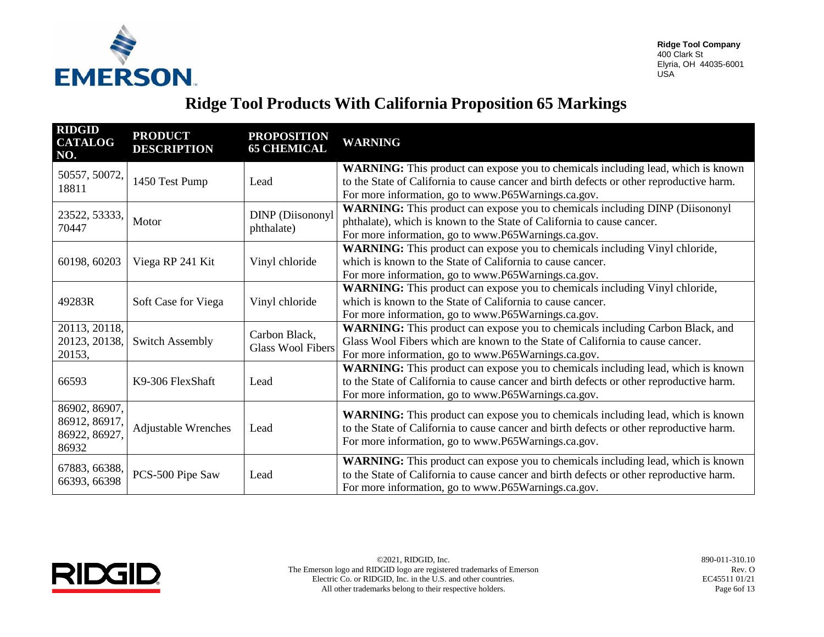

| <b>RIDGID</b><br><b>CATALOG</b><br>NO.                   | <b>PRODUCT</b><br><b>DESCRIPTION</b> | <b>PROPOSITION</b><br><b>65 CHEMICAL</b>  | <b>WARNING</b>                                                                                                                                                                                                                             |
|----------------------------------------------------------|--------------------------------------|-------------------------------------------|--------------------------------------------------------------------------------------------------------------------------------------------------------------------------------------------------------------------------------------------|
| 50557, 50072,<br>18811                                   | 1450 Test Pump                       | Lead                                      | WARNING: This product can expose you to chemicals including lead, which is known<br>to the State of California to cause cancer and birth defects or other reproductive harm.<br>For more information, go to www.P65Warnings.ca.gov.        |
| 23522, 53333,<br>70447                                   | Motor                                | <b>DINP</b> (Diisononyl<br>phthalate)     | WARNING: This product can expose you to chemicals including DINP (Diisononyl<br>phthalate), which is known to the State of California to cause cancer.<br>For more information, go to www.P65Warnings.ca.gov.                              |
| 60198, 60203                                             | Viega RP 241 Kit                     | Vinyl chloride                            | <b>WARNING:</b> This product can expose you to chemicals including Vinyl chloride,<br>which is known to the State of California to cause cancer.<br>For more information, go to www.P65Warnings.ca.gov.                                    |
| 49283R                                                   | Soft Case for Viega                  | Vinyl chloride                            | <b>WARNING:</b> This product can expose you to chemicals including Vinyl chloride,<br>which is known to the State of California to cause cancer.<br>For more information, go to www.P65Warnings.ca.gov.                                    |
| 20113, 20118,<br>20123, 20138,<br>20153,                 | <b>Switch Assembly</b>               | Carbon Black,<br><b>Glass Wool Fibers</b> | WARNING: This product can expose you to chemicals including Carbon Black, and<br>Glass Wool Fibers which are known to the State of California to cause cancer.<br>For more information, go to www.P65Warnings.ca.gov.                      |
| 66593                                                    | K9-306 FlexShaft                     | Lead                                      | <b>WARNING:</b> This product can expose you to chemicals including lead, which is known<br>to the State of California to cause cancer and birth defects or other reproductive harm.<br>For more information, go to www.P65Warnings.ca.gov. |
| 86902, 86907,<br>86912, 86917,<br>86922, 86927,<br>86932 | <b>Adjustable Wrenches</b>           | Lead                                      | WARNING: This product can expose you to chemicals including lead, which is known<br>to the State of California to cause cancer and birth defects or other reproductive harm.<br>For more information, go to www.P65Warnings.ca.gov.        |
| 67883, 66388,<br>66393, 66398                            | PCS-500 Pipe Saw                     | Lead                                      | WARNING: This product can expose you to chemicals including lead, which is known<br>to the State of California to cause cancer and birth defects or other reproductive harm.<br>For more information, go to www.P65Warnings.ca.gov.        |

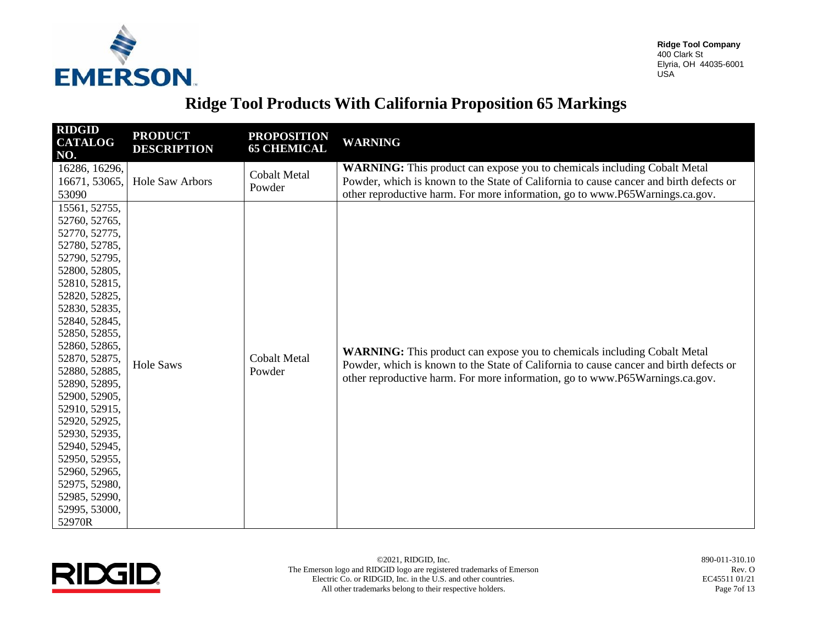

| <b>RIDGID</b><br><b>CATALOG</b><br>NO.                                                                                                                                                                                                                                                                                                                                                                                                          | <b>PRODUCT</b><br><b>DESCRIPTION</b> | <b>PROPOSITION</b><br><b>65 CHEMICAL</b> | <b>WARNING</b>                                                                                                                                                                                                                                            |
|-------------------------------------------------------------------------------------------------------------------------------------------------------------------------------------------------------------------------------------------------------------------------------------------------------------------------------------------------------------------------------------------------------------------------------------------------|--------------------------------------|------------------------------------------|-----------------------------------------------------------------------------------------------------------------------------------------------------------------------------------------------------------------------------------------------------------|
| 16286, 16296,<br>16671, 53065,<br>53090                                                                                                                                                                                                                                                                                                                                                                                                         | Hole Saw Arbors                      | <b>Cobalt Metal</b><br>Powder            | WARNING: This product can expose you to chemicals including Cobalt Metal<br>Powder, which is known to the State of California to cause cancer and birth defects or<br>other reproductive harm. For more information, go to www.P65Warnings.ca.gov.        |
| 15561, 52755,<br>52760, 52765,<br>52770, 52775,<br>52780, 52785,<br>52790, 52795,<br>52800, 52805,<br>52810, 52815,<br>52820, 52825,<br>52830, 52835,<br>52840, 52845,<br>52850, 52855,<br>52860, 52865,<br>52870, 52875,<br>52880, 52885,<br>52890, 52895,<br>52900, 52905,<br>52910, 52915,<br>52920, 52925,<br>52930, 52935,<br>52940, 52945,<br>52950, 52955,<br>52960, 52965,<br>52975, 52980,<br>52985, 52990,<br>52995, 53000,<br>52970R | <b>Hole Saws</b>                     | <b>Cobalt Metal</b><br>Powder            | <b>WARNING:</b> This product can expose you to chemicals including Cobalt Metal<br>Powder, which is known to the State of California to cause cancer and birth defects or<br>other reproductive harm. For more information, go to www.P65Warnings.ca.gov. |

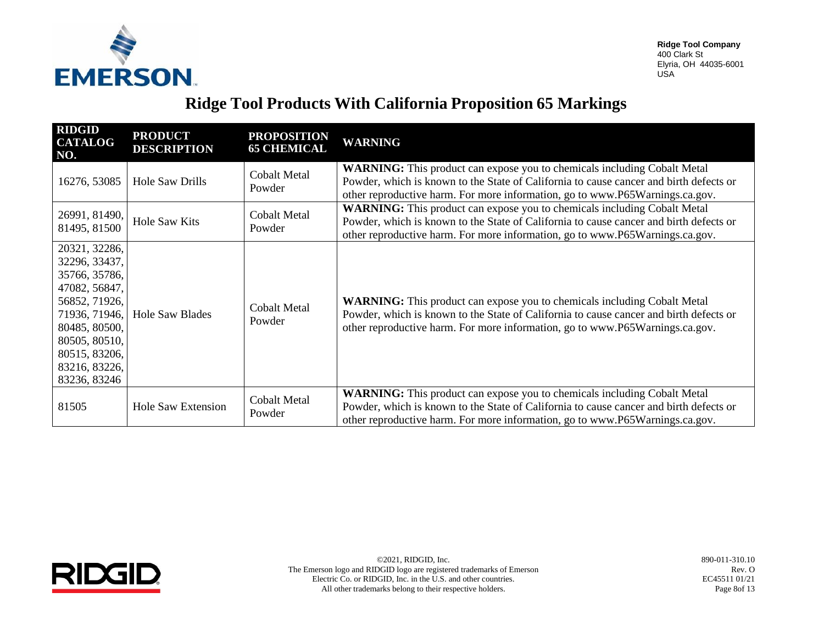

| <b>RIDGID</b><br><b>CATALOG</b><br>NO.                                                                                                                                                 | <b>PRODUCT</b><br><b>DESCRIPTION</b> | <b>PROPOSITION</b><br><b>65 CHEMICAL</b> | <b>WARNING</b>                                                                                                                                                                                                                                            |
|----------------------------------------------------------------------------------------------------------------------------------------------------------------------------------------|--------------------------------------|------------------------------------------|-----------------------------------------------------------------------------------------------------------------------------------------------------------------------------------------------------------------------------------------------------------|
| 16276, 53085                                                                                                                                                                           | Hole Saw Drills                      | <b>Cobalt Metal</b><br>Powder            | <b>WARNING:</b> This product can expose you to chemicals including Cobalt Metal<br>Powder, which is known to the State of California to cause cancer and birth defects or<br>other reproductive harm. For more information, go to www.P65Warnings.ca.gov. |
| 26991, 81490,<br>81495, 81500                                                                                                                                                          | <b>Hole Saw Kits</b>                 | <b>Cobalt Metal</b><br>Powder            | <b>WARNING:</b> This product can expose you to chemicals including Cobalt Metal<br>Powder, which is known to the State of California to cause cancer and birth defects or<br>other reproductive harm. For more information, go to www.P65Warnings.ca.gov. |
| 20321, 32286,<br>32296, 33437,<br>35766, 35786,<br>47082, 56847,<br>56852, 71926,<br>71936, 71946,<br>80485, 80500,<br>80505, 80510,<br>80515, 83206,<br>83216, 83226,<br>83236, 83246 | <b>Hole Saw Blades</b>               | <b>Cobalt Metal</b><br>Powder            | <b>WARNING:</b> This product can expose you to chemicals including Cobalt Metal<br>Powder, which is known to the State of California to cause cancer and birth defects or<br>other reproductive harm. For more information, go to www.P65Warnings.ca.gov. |
| 81505                                                                                                                                                                                  | <b>Hole Saw Extension</b>            | <b>Cobalt Metal</b><br>Powder            | WARNING: This product can expose you to chemicals including Cobalt Metal<br>Powder, which is known to the State of California to cause cancer and birth defects or<br>other reproductive harm. For more information, go to www.P65Warnings.ca.gov.        |



©2021, RIDGID, Inc. 890-011-310.10 The Emerson logo and RIDGID logo are registered trademarks of Emerson Electric Co. or RIDGID, Inc. in the U.S. and other countries. All other trademarks belong to their respective holders.

Rev. O EC45511 01/21 Page 8of 13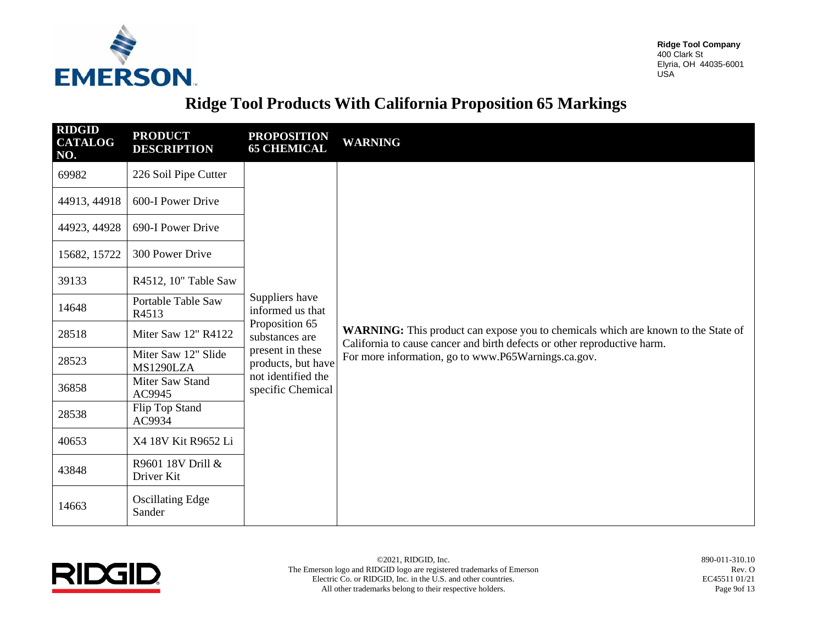

| <b>RIDGID</b><br><b>CATALOG</b><br>NO. | <b>PRODUCT</b><br><b>DESCRIPTION</b> | <b>PROPOSITION</b><br><b>65 CHEMICAL</b> | <b>WARNING</b>                                                                                                                                                                                                              |
|----------------------------------------|--------------------------------------|------------------------------------------|-----------------------------------------------------------------------------------------------------------------------------------------------------------------------------------------------------------------------------|
| 69982                                  | 226 Soil Pipe Cutter                 |                                          |                                                                                                                                                                                                                             |
| 44913, 44918                           | 600-I Power Drive                    |                                          |                                                                                                                                                                                                                             |
| 44923, 44928                           | 690-I Power Drive                    |                                          |                                                                                                                                                                                                                             |
| 15682, 15722                           | 300 Power Drive                      |                                          |                                                                                                                                                                                                                             |
| 39133                                  | R4512, 10" Table Saw                 |                                          | <b>WARNING:</b> This product can expose you to chemicals which are known to the State of<br>California to cause cancer and birth defects or other reproductive harm.<br>For more information, go to www.P65Warnings.ca.gov. |
| 14648                                  | Portable Table Saw<br>R4513          | Suppliers have<br>informed us that       |                                                                                                                                                                                                                             |
| 28518                                  | Miter Saw 12" R4122                  | Proposition 65<br>substances are         |                                                                                                                                                                                                                             |
| 28523                                  | Miter Saw 12" Slide<br>MS1290LZA     | present in these<br>products, but have   |                                                                                                                                                                                                                             |
| 36858                                  | Miter Saw Stand<br>AC9945            | not identified the<br>specific Chemical  |                                                                                                                                                                                                                             |
| 28538                                  | Flip Top Stand<br>AC9934             |                                          |                                                                                                                                                                                                                             |
| 40653                                  | X4 18V Kit R9652 Li                  |                                          |                                                                                                                                                                                                                             |
| 43848                                  | R9601 18V Drill &<br>Driver Kit      |                                          |                                                                                                                                                                                                                             |
| 14663                                  | <b>Oscillating Edge</b><br>Sander    |                                          |                                                                                                                                                                                                                             |

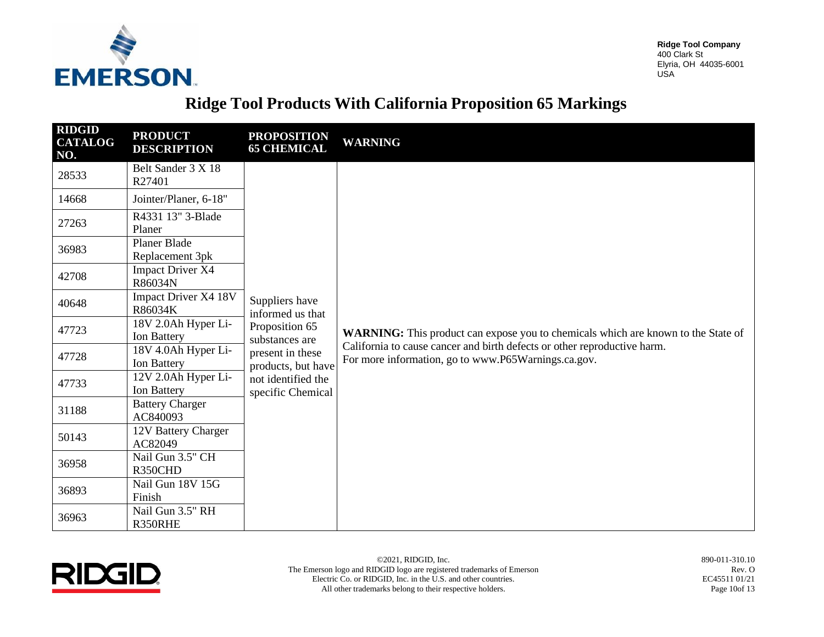

# **Ridge Tool Products With California Proposition 65 Markings**

| <b>RIDGID</b><br><b>CATALOG</b><br>NO. | <b>PRODUCT</b><br><b>DESCRIPTION</b>      | <b>PROPOSITION</b><br><b>65 CHEMICAL</b> | <b>WARNING</b>                                                                                                                                                                                                              |
|----------------------------------------|-------------------------------------------|------------------------------------------|-----------------------------------------------------------------------------------------------------------------------------------------------------------------------------------------------------------------------------|
| 28533                                  | Belt Sander 3 X 18<br>R27401              |                                          |                                                                                                                                                                                                                             |
| 14668                                  | Jointer/Planer, 6-18"                     |                                          |                                                                                                                                                                                                                             |
| 27263                                  | R4331 13" 3-Blade<br>Planer               |                                          |                                                                                                                                                                                                                             |
| 36983                                  | Planer Blade<br>Replacement 3pk           |                                          |                                                                                                                                                                                                                             |
| 42708                                  | <b>Impact Driver X4</b><br>R86034N        |                                          | <b>WARNING:</b> This product can expose you to chemicals which are known to the State of<br>California to cause cancer and birth defects or other reproductive harm.<br>For more information, go to www.P65Warnings.ca.gov. |
| 40648                                  | Impact Driver X4 18V<br>R86034K           | Suppliers have<br>informed us that       |                                                                                                                                                                                                                             |
| 47723                                  | 18V 2.0Ah Hyper Li-<br>Ion Battery        | Proposition 65<br>substances are         |                                                                                                                                                                                                                             |
| 47728                                  | 18V 4.0Ah Hyper Li-<br><b>Ion Battery</b> | present in these<br>products, but have   |                                                                                                                                                                                                                             |
| 47733                                  | 12V 2.0Ah Hyper Li-<br>Ion Battery        | not identified the<br>specific Chemical  |                                                                                                                                                                                                                             |
| 31188                                  | <b>Battery Charger</b><br>AC840093        |                                          |                                                                                                                                                                                                                             |
| 50143                                  | 12V Battery Charger<br>AC82049            |                                          |                                                                                                                                                                                                                             |
| 36958                                  | Nail Gun 3.5" CH<br>R350CHD               |                                          |                                                                                                                                                                                                                             |
| 36893                                  | Nail Gun 18V 15G<br>Finish                |                                          |                                                                                                                                                                                                                             |
| 36963                                  | Nail Gun 3.5" RH<br>R350RHE               |                                          |                                                                                                                                                                                                                             |



Rev. O EC45511 01/21 Page 10of 13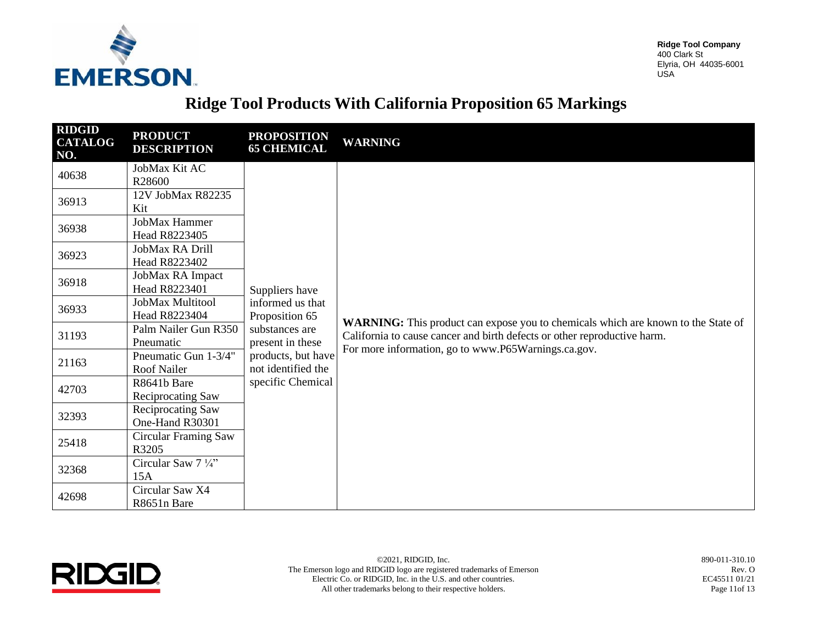

### **Ridge Tool Products With California Proposition 65 Markings**

| <b>RIDGID</b><br><b>CATALOG</b><br>NO. | <b>PRODUCT</b><br><b>DESCRIPTION</b>       | <b>PROPOSITION</b><br><b>65 CHEMICAL</b> | <b>WARNING</b>                                                                                                                                                                                                              |
|----------------------------------------|--------------------------------------------|------------------------------------------|-----------------------------------------------------------------------------------------------------------------------------------------------------------------------------------------------------------------------------|
| 40638                                  | JobMax Kit AC<br>R28600                    |                                          |                                                                                                                                                                                                                             |
| 36913                                  | 12V JobMax R82235<br>Kit                   |                                          |                                                                                                                                                                                                                             |
| 36938                                  | JobMax Hammer<br>Head R8223405             |                                          |                                                                                                                                                                                                                             |
| 36923                                  | JobMax RA Drill<br>Head R8223402           |                                          |                                                                                                                                                                                                                             |
| 36918                                  | JobMax RA Impact<br>Head R8223401          | Suppliers have                           | <b>WARNING:</b> This product can expose you to chemicals which are known to the State of<br>California to cause cancer and birth defects or other reproductive harm.<br>For more information, go to www.P65Warnings.ca.gov. |
| 36933                                  | JobMax Multitool<br>Head R8223404          | informed us that<br>Proposition 65       |                                                                                                                                                                                                                             |
| 31193                                  | Palm Nailer Gun R350<br>Pneumatic          | substances are<br>present in these       |                                                                                                                                                                                                                             |
| 21163                                  | Pneumatic Gun 1-3/4"<br><b>Roof Nailer</b> | products, but have<br>not identified the |                                                                                                                                                                                                                             |
| 42703                                  | R8641b Bare<br>Reciprocating Saw           | specific Chemical                        |                                                                                                                                                                                                                             |
| 32393                                  | Reciprocating Saw<br>One-Hand R30301       |                                          |                                                                                                                                                                                                                             |
| 25418                                  | Circular Framing Saw<br>R3205              |                                          |                                                                                                                                                                                                                             |
| 32368                                  | Circular Saw 7 1/4"<br>15A                 |                                          |                                                                                                                                                                                                                             |
| 42698                                  | Circular Saw X4<br>R8651n Bare             |                                          |                                                                                                                                                                                                                             |



©2021, RIDGID, Inc. 890-011-310.10 The Emerson logo and RIDGID logo are registered trademarks of Emerson Electric Co. or RIDGID, Inc. in the U.S. and other countries. All other trademarks belong to their respective holders.

Rev. O EC45511 01/21 Page 11of 13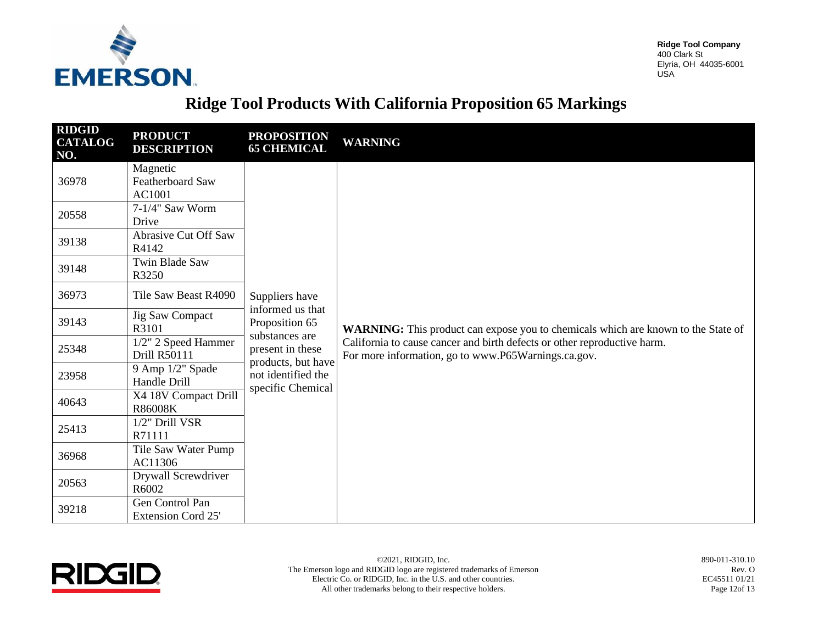

### **Ridge Tool Products With California Proposition 65 Markings**

| <b>RIDGID</b><br><b>CATALOG</b><br>NO. | <b>PRODUCT</b><br><b>DESCRIPTION</b>         | <b>PROPOSITION</b><br><b>65 CHEMICAL</b>                      | <b>WARNING</b>                                                                                                                                                                                                       |
|----------------------------------------|----------------------------------------------|---------------------------------------------------------------|----------------------------------------------------------------------------------------------------------------------------------------------------------------------------------------------------------------------|
| 36978                                  | Magnetic<br>Featherboard Saw<br>AC1001       |                                                               |                                                                                                                                                                                                                      |
| 20558                                  | $7-1/4$ " Saw Worm<br>Drive                  |                                                               |                                                                                                                                                                                                                      |
| 39138                                  | Abrasive Cut Off Saw<br>R4142                |                                                               |                                                                                                                                                                                                                      |
| 39148                                  | <b>Twin Blade Saw</b><br>R3250               |                                                               |                                                                                                                                                                                                                      |
| 36973                                  | Tile Saw Beast R4090                         | Suppliers have                                                | WARNING: This product can expose you to chemicals which are known to the State of<br>California to cause cancer and birth defects or other reproductive harm.<br>For more information, go to www.P65Warnings.ca.gov. |
| 39143                                  | <b>Jig Saw Compact</b><br>R3101              | informed us that<br>Proposition 65                            |                                                                                                                                                                                                                      |
| 25348                                  | 1/2" 2 Speed Hammer<br>Drill R50111          | substances are<br>present in these                            |                                                                                                                                                                                                                      |
| 23958                                  | 9 Amp 1/2" Spade<br>Handle Drill             | products, but have<br>not identified the<br>specific Chemical |                                                                                                                                                                                                                      |
| 40643                                  | X4 18V Compact Drill<br>R86008K              |                                                               |                                                                                                                                                                                                                      |
| 25413                                  | 1/2" Drill VSR<br>R71111                     |                                                               |                                                                                                                                                                                                                      |
| 36968                                  | Tile Saw Water Pump<br>AC11306               |                                                               |                                                                                                                                                                                                                      |
| 20563                                  | Drywall Screwdriver<br>R6002                 |                                                               |                                                                                                                                                                                                                      |
| 39218                                  | Gen Control Pan<br><b>Extension Cord 25'</b> |                                                               |                                                                                                                                                                                                                      |



©2021, RIDGID, Inc. 890-011-310.10 The Emerson logo and RIDGID logo are registered trademarks of Emerson Electric Co. or RIDGID, Inc. in the U.S. and other countries. All other trademarks belong to their respective holders.

Rev. O EC45511 01/21 Page 12of 13